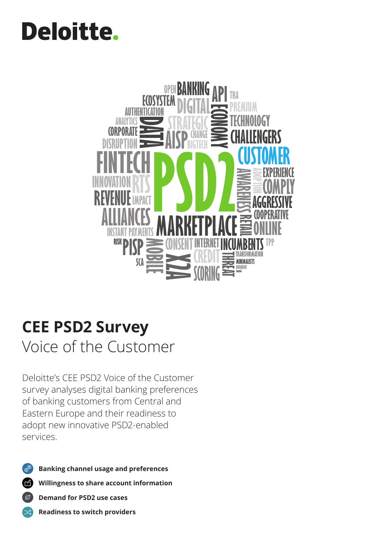# **Deloitte.**



# **CEE PSD2 Survey**

Voice of the Customer

Deloitte's CEE PSD2 Voice of the Customer survey analyses digital banking preferences of banking customers from Central and Eastern Europe and their readiness to adopt new innovative PSD2-enabled services.



☆

**Banking channel usage and preferences**

6 **Willingness to share account information**

 $\sigma$ **Demand for PSD2 use cases**

**Readiness to switch providers**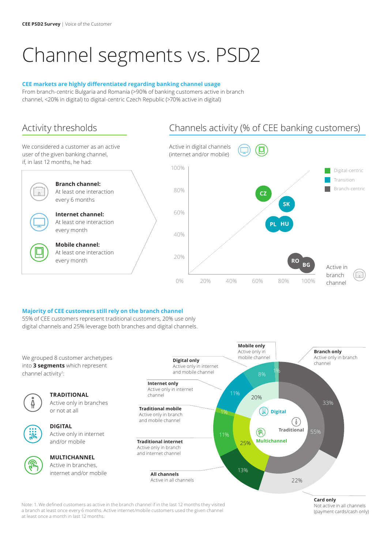## Channel segments vs. PSD2

#### **CEE markets are highly differentiated regarding banking channel usage**

From branch-centric Bulgaria and Romania (>90% of banking customers active in branch channel, <20% in digital) to digital-centric Czech Republic (>70% active in digital)

We considered a customer as an active user of the given banking channel, if, in last 12 months, he had:



### Activity thresholds Channels activity (% of CEE banking customers)



#### **Majority of CEE customers still rely on the branch channel**

55% of CEE customers represent traditional customers, 20% use only digital channels and 25% leverage both branches and digital channels.



Note: 1. We defined customers as active in the branch channel if in the last 12 months they visited a branch at least once every 6 months. Active internet/mobile customers used the given channel at least once a month in last 12 months.

#### **Card only** Not active in all channels (payment cards/cash only)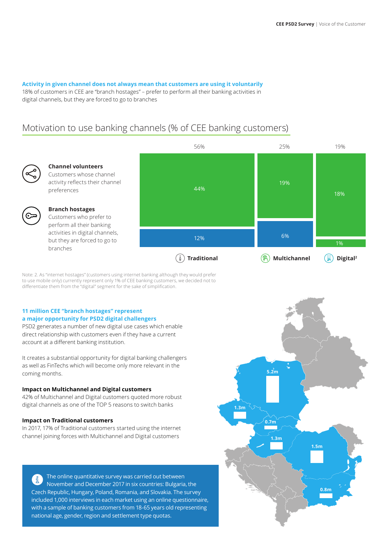#### **Activity in given channel does not always mean that customers are using it voluntarily**

18% of customers in CEE are "branch hostages" – prefer to perform all their banking activities in digital channels, but they are forced to go to branches

### Motivation to use banking channels (% of CEE banking customers)



#### **Channel volunteers** Customers whose channel

activity reflects their channel preferences

### **Branch hostages**

Customers who prefer to perform all their banking activities in digital channels, but they are forced to go to branches



Note: 2. As "internet hostages" (customers using internet banking although they would prefer to use mobile only) currently represent only 1% of CEE banking customers, we decided not to differentiate them from the "digital" segment for the sake of simplification.

#### **11 million CEE "branch hostages" represent a major opportunity for PSD2 digital challengers**

PSD2 generates a number of new digital use cases which enable direct relationship with customers even if they have a current account at a different banking institution.

It creates a substantial opportunity for digital banking challengers as well as FinTechs which will become only more relevant in the coming months.

#### **Impact on Multichannel and Digital customers**

42% of Multichannel and Digital customers quoted more robust digital channels as one of the TOP 5 reasons to switch banks

#### **Impact on Traditional customers**

In 2017, 17% of Traditional customers started using the internet channel joining forces with Multichannel and Digital customers

The online quantitative survey was carried out between  $\left( \begin{array}{c} 2 \ 1 \end{array} \right)$ November and December 2017 in six countries: Bulgaria, the Czech Republic, Hungary, Poland, Romania, and Slovakia. The survey included 1,000 interviews in each market using an online questionnaire, with a sample of banking customers from 18-65 years old representing national age, gender, region and settlement type quotas.

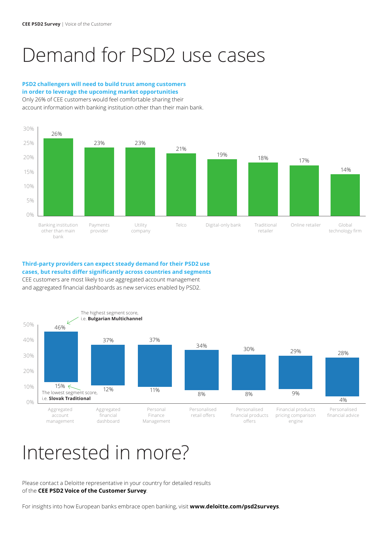### Demand for PSD2 use cases

#### **PSD2 challengers will need to build trust among customers in order to leverage the upcoming market opportunities**

Only 26% of CEE customers would feel comfortable sharing their account information with banking institution other than their main bank.



### **Third-party providers can expect steady demand for their PSD2 use cases, but results differ significantly across countries and segments** CEE customers are most likely to use aggregated account management

and aggregated financial dashboards as new services enabled by PSD2.



### Interested in more?

Please contact a Deloitte representative in your country for detailed results of the **CEE PSD2 Voice of the Customer Survey**.

For insights into how European banks embrace open banking, visit **www.deloitte.com/psd2surveys**.